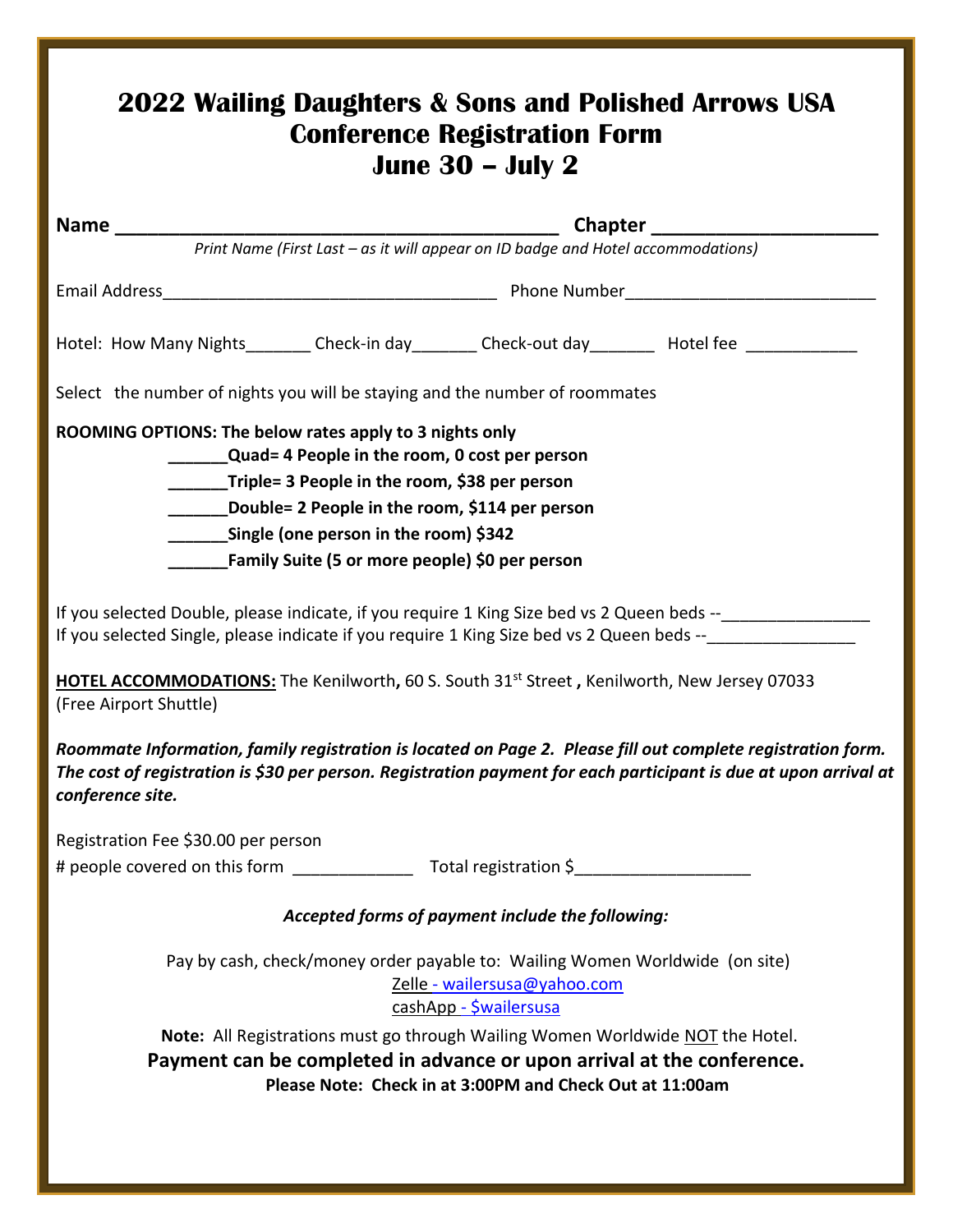|                                                                                                                                          | Print Name (First Last - as it will appear on ID badge and Hotel accommodations)                                                                                                                                                                                                |
|------------------------------------------------------------------------------------------------------------------------------------------|---------------------------------------------------------------------------------------------------------------------------------------------------------------------------------------------------------------------------------------------------------------------------------|
|                                                                                                                                          |                                                                                                                                                                                                                                                                                 |
|                                                                                                                                          | Hotel: How Many Nights________ Check-in day________ Check-out day________ Hotel fee _____________                                                                                                                                                                               |
| Select the number of nights you will be staying and the number of roommates                                                              |                                                                                                                                                                                                                                                                                 |
| ROOMING OPTIONS: The below rates apply to 3 nights only                                                                                  |                                                                                                                                                                                                                                                                                 |
| <b>Quad=4 People in the room, 0 cost per person</b><br>Triple= 3 People in the room, \$38 per person                                     |                                                                                                                                                                                                                                                                                 |
| Double= 2 People in the room, \$114 per person                                                                                           |                                                                                                                                                                                                                                                                                 |
| __________Single (one person in the room) \$342                                                                                          |                                                                                                                                                                                                                                                                                 |
| Family Suite (5 or more people) \$0 per person                                                                                           |                                                                                                                                                                                                                                                                                 |
|                                                                                                                                          | If you selected Double, please indicate, if you require 1 King Size bed vs 2 Queen beds --________________<br>If you selected Single, please indicate if you require 1 King Size bed vs 2 Queen beds --<br>Superstanding the Single Counter of Ning Size bed vs 2 Queen beds -- |
|                                                                                                                                          |                                                                                                                                                                                                                                                                                 |
| <b>HOTEL ACCOMMODATIONS:</b> The Kenilworth, 60 S. South 31 <sup>st</sup> Street, Kenilworth, New Jersey 07033<br>(Free Airport Shuttle) |                                                                                                                                                                                                                                                                                 |
| conference site.                                                                                                                         | Roommate Information, family registration is located on Page 2. Please fill out complete registration form.<br>The cost of registration is \$30 per person. Registration payment for each participant is due at upon arrival at                                                 |
| Registration Fee \$30.00 per person                                                                                                      |                                                                                                                                                                                                                                                                                 |
|                                                                                                                                          |                                                                                                                                                                                                                                                                                 |
|                                                                                                                                          | Accepted forms of payment include the following:                                                                                                                                                                                                                                |
|                                                                                                                                          |                                                                                                                                                                                                                                                                                 |
| Pay by cash, check/money order payable to: Wailing Women Worldwide (on site)                                                             | Zelle - wailersusa@yahoo.com                                                                                                                                                                                                                                                    |
|                                                                                                                                          | cashApp - <i>Śwailersusa</i><br>Note: All Registrations must go through Wailing Women Worldwide NOT the Hotel.                                                                                                                                                                  |